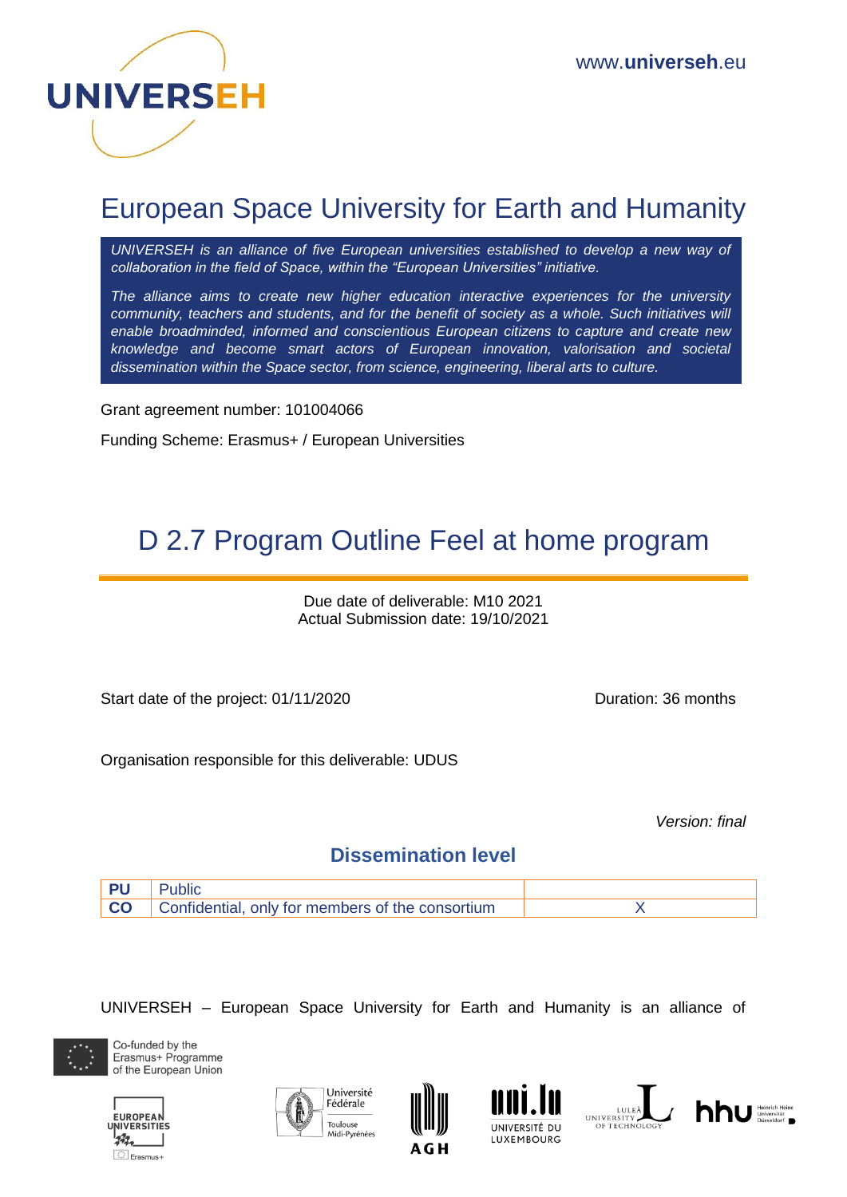

# European Space University for Earth and Humanity

*UNIVERSEH is an alliance of five European universities established to develop a new way of collaboration in the field of Space, within the "European Universities" initiative.*

*The alliance aims to create new higher education interactive experiences for the university community, teachers and students, and for the benefit of society as a whole. Such initiatives will enable broadminded, informed and conscientious European citizens to capture and create new knowledge and become smart actors of European innovation, valorisation and societal dissemination within the Space sector, from science, engineering, liberal arts to culture.*

Grant agreement number: 101004066

Funding Scheme: Erasmus+ / European Universities

# D 2.7 Program Outline Feel at home program

Due date of deliverable: M10 2021 Actual Submission date: 19/10/2021

Start date of the project: 01/11/2020 Duration: 36 months

Organisation responsible for this deliverable: UDUS

*Version: final*

### **Dissemination level**



UNIVERSEH – European Space University for Earth and Humanity is an alliance of













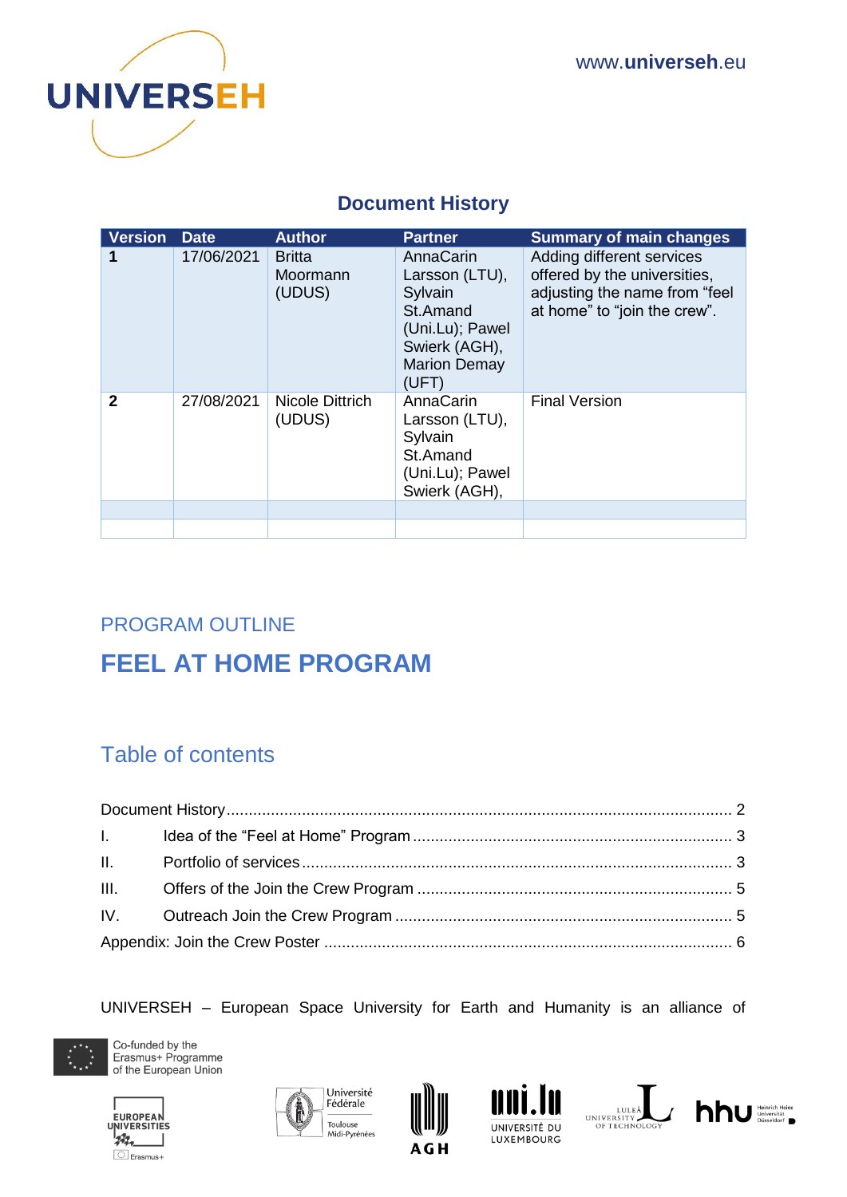

## **Document History**

<span id="page-1-0"></span>

| <b>Version</b> | <b>Date</b> | <b>Author</b>                       | <b>Partner</b>                                                                                                         | <b>Summary of main changes</b>                                                                                             |
|----------------|-------------|-------------------------------------|------------------------------------------------------------------------------------------------------------------------|----------------------------------------------------------------------------------------------------------------------------|
|                | 17/06/2021  | <b>Britta</b><br>Moormann<br>(UDUS) | AnnaCarin<br>Larsson (LTU),<br>Sylvain<br>St.Amand<br>(Uni.Lu); Pawel<br>Swierk (AGH),<br><b>Marion Demay</b><br>(UFT) | Adding different services<br>offered by the universities,<br>adjusting the name from "feel<br>at home" to "join the crew". |
| $\mathbf{2}$   | 27/08/2021  | <b>Nicole Dittrich</b><br>(UDUS)    | AnnaCarin<br>Larsson (LTU),<br>Sylvain<br>St.Amand<br>(Uni.Lu); Pawel<br>Swierk (AGH),                                 | <b>Final Version</b>                                                                                                       |
|                |             |                                     |                                                                                                                        |                                                                                                                            |

# PROGRAM OUTLINE

# **FEEL AT HOME PROGRAM**

## Table of contents

UNIVERSEH – European Space University for Earth and Humanity is an alliance of













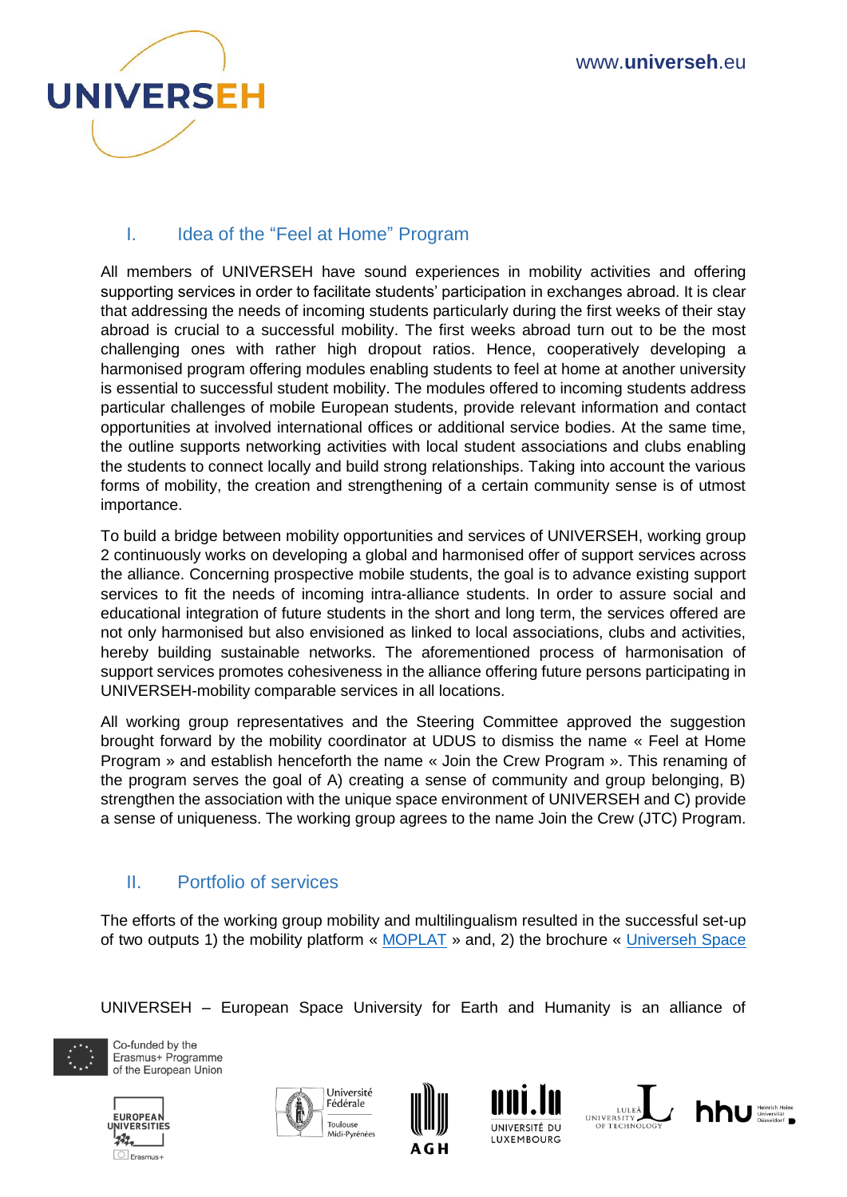

## <span id="page-2-0"></span>I. Idea of the "Feel at Home" Program

All members of UNIVERSEH have sound experiences in mobility activities and offering supporting services in order to facilitate students' participation in exchanges abroad. It is clear that addressing the needs of incoming students particularly during the first weeks of their stay abroad is crucial to a successful mobility. The first weeks abroad turn out to be the most challenging ones with rather high dropout ratios. Hence, cooperatively developing a harmonised program offering modules enabling students to feel at home at another university is essential to successful student mobility. The modules offered to incoming students address particular challenges of mobile European students, provide relevant information and contact opportunities at involved international offices or additional service bodies. At the same time, the outline supports networking activities with local student associations and clubs enabling the students to connect locally and build strong relationships. Taking into account the various forms of mobility, the creation and strengthening of a certain community sense is of utmost importance.

To build a bridge between mobility opportunities and services of UNIVERSEH, working group 2 continuously works on developing a global and harmonised offer of support services across the alliance. Concerning prospective mobile students, the goal is to advance existing support services to fit the needs of incoming intra-alliance students. In order to assure social and educational integration of future students in the short and long term, the services offered are not only harmonised but also envisioned as linked to local associations, clubs and activities, hereby building sustainable networks. The aforementioned process of harmonisation of support services promotes cohesiveness in the alliance offering future persons participating in UNIVERSEH-mobility comparable services in all locations.

All working group representatives and the Steering Committee approved the suggestion brought forward by the mobility coordinator at UDUS to dismiss the name « Feel at Home Program » and establish henceforth the name « Join the Crew Program ». This renaming of the program serves the goal of A) creating a sense of community and group belonging, B) strengthen the association with the unique space environment of UNIVERSEH and C) provide a sense of uniqueness. The working group agrees to the name Join the Crew (JTC) Program.

### <span id="page-2-1"></span>II. Portfolio of services

The efforts of the working group mobility and multilingualism resulted in the successful set-up of two outputs 1) the mobility platform « [MOPLAT](https://universeh.eu/mobility-moplat/) » and, 2) the brochure « [Universeh Space](https://universeh.eu/wp-content/uploads/2021/05/05052021-Brochure-UNIVERSEH.pdf) 

UNIVERSEH – European Space University for Earth and Humanity is an alliance of













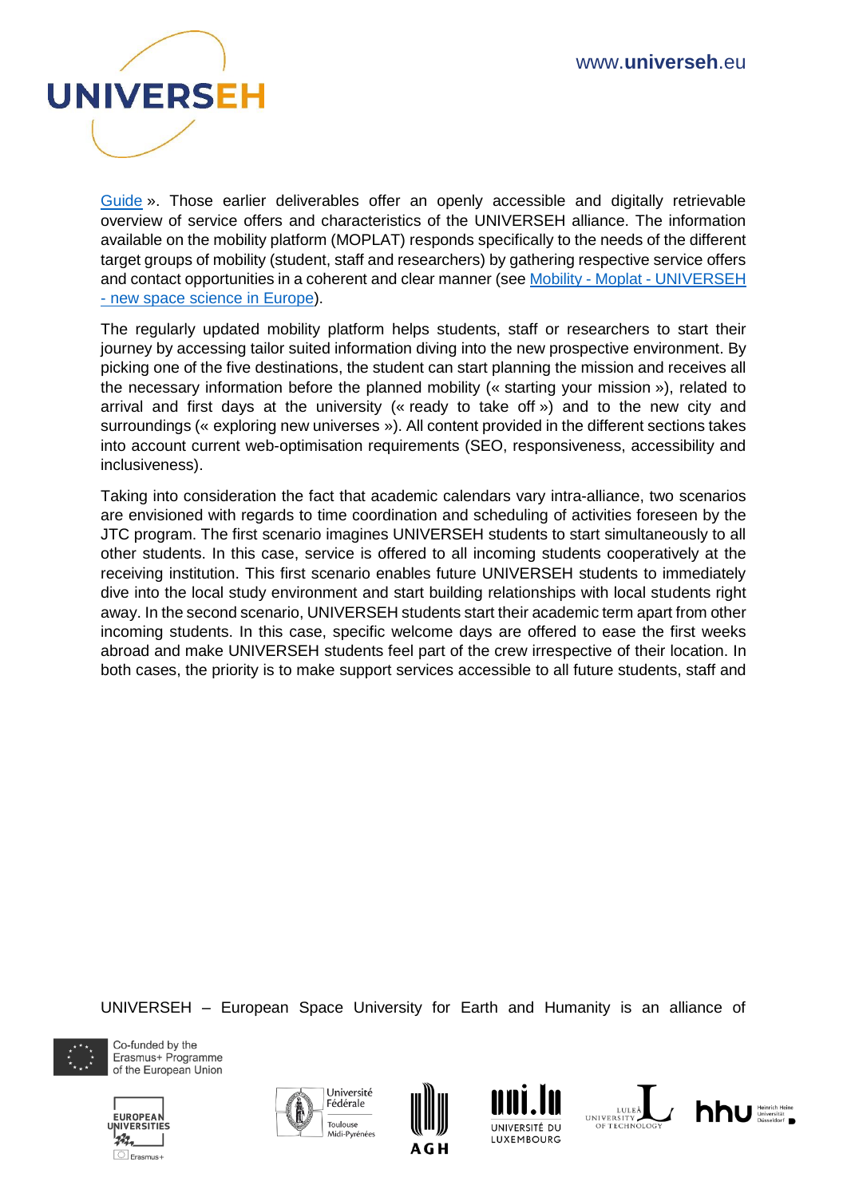

[Guide](https://universeh.eu/wp-content/uploads/2021/05/05052021-Brochure-UNIVERSEH.pdf) ». Those earlier deliverables offer an openly accessible and digitally retrievable overview of service offers and characteristics of the UNIVERSEH alliance. The information available on the mobility platform (MOPLAT) responds specifically to the needs of the different target groups of mobility (student, staff and researchers) by gathering respective service offers and contact opportunities in a coherent and clear manner (see Mobility - Moplat - [UNIVERSEH](https://universeh.eu/mobility-moplat/)  - [new space science in Europe\)](https://universeh.eu/mobility-moplat/).

The regularly updated mobility platform helps students, staff or researchers to start their journey by accessing tailor suited information diving into the new prospective environment. By picking one of the five destinations, the student can start planning the mission and receives all the necessary information before the planned mobility (« starting your mission »), related to arrival and first days at the university (« ready to take off ») and to the new city and surroundings (« exploring new universes »). All content provided in the different sections takes into account current web-optimisation requirements (SEO, responsiveness, accessibility and inclusiveness).

Taking into consideration the fact that academic calendars vary intra-alliance, two scenarios are envisioned with regards to time coordination and scheduling of activities foreseen by the JTC program. The first scenario imagines UNIVERSEH students to start simultaneously to all other students. In this case, service is offered to all incoming students cooperatively at the receiving institution. This first scenario enables future UNIVERSEH students to immediately dive into the local study environment and start building relationships with local students right away. In the second scenario, UNIVERSEH students start their academic term apart from other incoming students. In this case, specific welcome days are offered to ease the first weeks abroad and make UNIVERSEH students feel part of the crew irrespective of their location. In both cases, the priority is to make support services accessible to all future students, staff and

UNIVERSEH – European Space University for Earth and Humanity is an alliance of













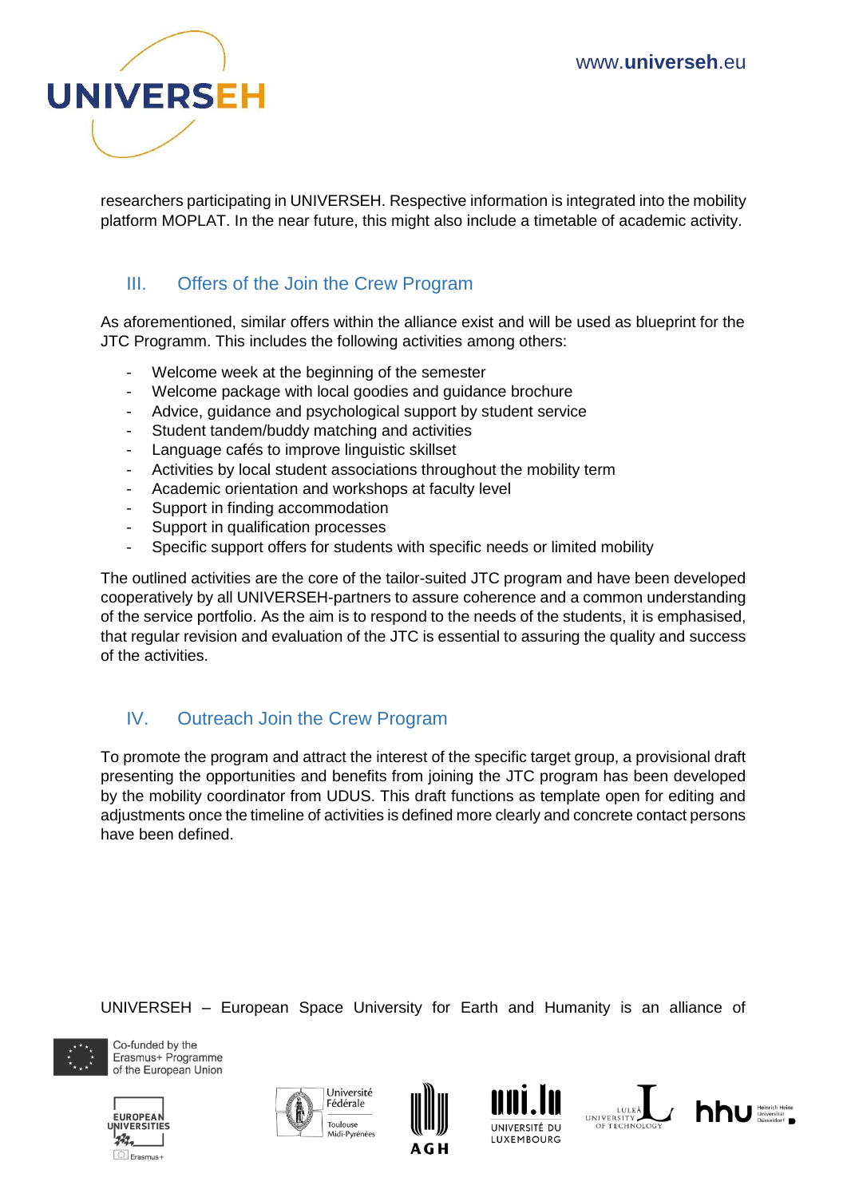

researchers participating in UNIVERSEH. Respective information is integrated into the mobility platform MOPLAT. In the near future, this might also include a timetable of academic activity.

### <span id="page-4-0"></span>III. Offers of the Join the Crew Program

As aforementioned, similar offers within the alliance exist and will be used as blueprint for the JTC Programm. This includes the following activities among others:

- Welcome week at the beginning of the semester
- Welcome package with local goodies and guidance brochure
- Advice, guidance and psychological support by student service
- Student tandem/buddy matching and activities
- Language cafés to improve linguistic skillset
- Activities by local student associations throughout the mobility term
- Academic orientation and workshops at faculty level
- Support in finding accommodation
- Support in qualification processes
- Specific support offers for students with specific needs or limited mobility

The outlined activities are the core of the tailor-suited JTC program and have been developed cooperatively by all UNIVERSEH-partners to assure coherence and a common understanding of the service portfolio. As the aim is to respond to the needs of the students, it is emphasised, that regular revision and evaluation of the JTC is essential to assuring the quality and success of the activities.

### <span id="page-4-1"></span>IV. Outreach Join the Crew Program

To promote the program and attract the interest of the specific target group, a provisional draft presenting the opportunities and benefits from joining the JTC program has been developed by the mobility coordinator from UDUS. This draft functions as template open for editing and adjustments once the timeline of activities is defined more clearly and concrete contact persons have been defined.

UNIVERSEH – European Space University for Earth and Humanity is an alliance of